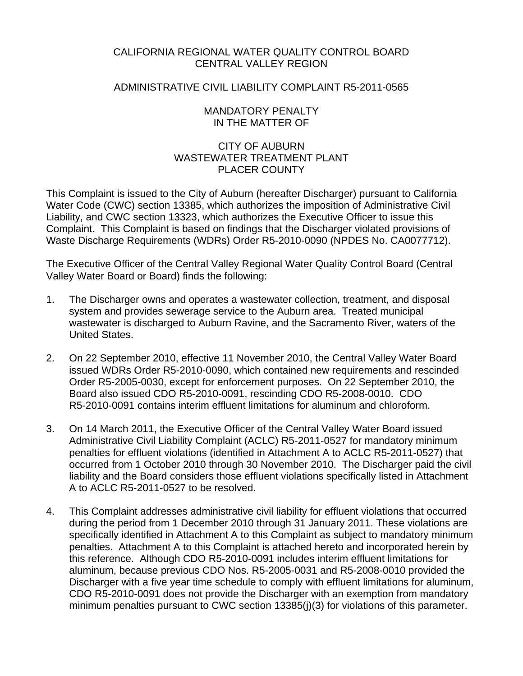# CALIFORNIA REGIONAL WATER QUALITY CONTROL BOARD CENTRAL VALLEY REGION

## ADMINISTRATIVE CIVIL LIABILITY COMPLAINT R5-2011-0565

## MANDATORY PENALTY IN THE MATTER OF

# CITY OF AUBURN WASTEWATER TREATMENT PLANT PLACER COUNTY

This Complaint is issued to the City of Auburn (hereafter Discharger) pursuant to California Water Code (CWC) section 13385, which authorizes the imposition of Administrative Civil Liability, and CWC section 13323, which authorizes the Executive Officer to issue this Complaint. This Complaint is based on findings that the Discharger violated provisions of Waste Discharge Requirements (WDRs) Order R5-2010-0090 (NPDES No. CA0077712).

The Executive Officer of the Central Valley Regional Water Quality Control Board (Central Valley Water Board or Board) finds the following:

- 1. The Discharger owns and operates a wastewater collection, treatment, and disposal system and provides sewerage service to the Auburn area. Treated municipal wastewater is discharged to Auburn Ravine, and the Sacramento River, waters of the United States.
- 2. On 22 September 2010, effective 11 November 2010, the Central Valley Water Board issued WDRs Order R5-2010-0090, which contained new requirements and rescinded Order R5-2005-0030, except for enforcement purposes. On 22 September 2010, the Board also issued CDO R5-2010-0091, rescinding CDO R5-2008-0010. CDO R5-2010-0091 contains interim effluent limitations for aluminum and chloroform.
- 3. On 14 March 2011, the Executive Officer of the Central Valley Water Board issued Administrative Civil Liability Complaint (ACLC) R5-2011-0527 for mandatory minimum penalties for effluent violations (identified in Attachment A to ACLC R5-2011-0527) that occurred from 1 October 2010 through 30 November 2010. The Discharger paid the civil liability and the Board considers those effluent violations specifically listed in Attachment A to ACLC R5-2011-0527 to be resolved.
- 4. This Complaint addresses administrative civil liability for effluent violations that occurred during the period from 1 December 2010 through 31 January 2011. These violations are specifically identified in Attachment A to this Complaint as subject to mandatory minimum penalties. Attachment A to this Complaint is attached hereto and incorporated herein by this reference. Although CDO R5-2010-0091 includes interim effluent limitations for aluminum, because previous CDO Nos. R5-2005-0031 and R5-2008-0010 provided the Discharger with a five year time schedule to comply with effluent limitations for aluminum, CDO R5-2010-0091 does not provide the Discharger with an exemption from mandatory minimum penalties pursuant to CWC section 13385(j)(3) for violations of this parameter.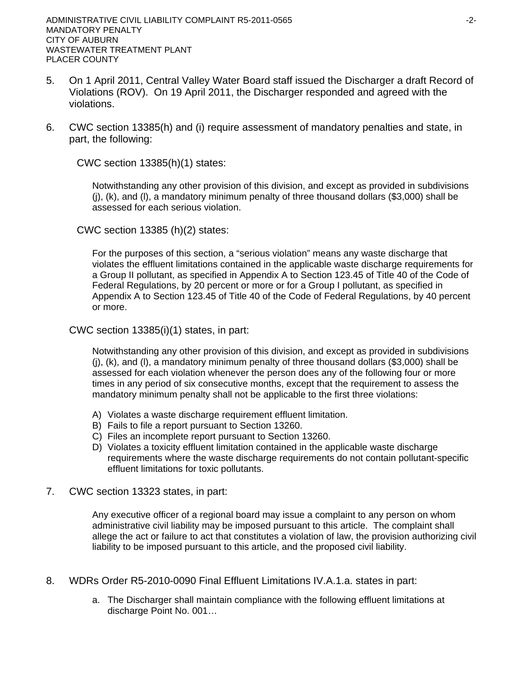- 5. On 1 April 2011, Central Valley Water Board staff issued the Discharger a draft Record of Violations (ROV). On 19 April 2011, the Discharger responded and agreed with the violations.
- 6. CWC section 13385(h) and (i) require assessment of mandatory penalties and state, in part, the following:

CWC section 13385(h)(1) states:

Notwithstanding any other provision of this division, and except as provided in subdivisions (j), (k), and (l), a mandatory minimum penalty of three thousand dollars (\$3,000) shall be assessed for each serious violation.

CWC section 13385 (h)(2) states:

For the purposes of this section, a "serious violation" means any waste discharge that violates the effluent limitations contained in the applicable waste discharge requirements for a Group II pollutant, as specified in Appendix A to Section 123.45 of Title 40 of the Code of Federal Regulations, by 20 percent or more or for a Group I pollutant, as specified in Appendix A to Section 123.45 of Title 40 of the Code of Federal Regulations, by 40 percent or more.

CWC section 13385(i)(1) states, in part:

Notwithstanding any other provision of this division, and except as provided in subdivisions (j), (k), and (l), a mandatory minimum penalty of three thousand dollars (\$3,000) shall be assessed for each violation whenever the person does any of the following four or more times in any period of six consecutive months, except that the requirement to assess the mandatory minimum penalty shall not be applicable to the first three violations:

- A) Violates a waste discharge requirement effluent limitation.
- B) Fails to file a report pursuant to Section 13260.
- C) Files an incomplete report pursuant to Section 13260.
- D) Violates a toxicity effluent limitation contained in the applicable waste discharge requirements where the waste discharge requirements do not contain pollutant-specific effluent limitations for toxic pollutants.
- 7. CWC section 13323 states, in part:

Any executive officer of a regional board may issue a complaint to any person on whom administrative civil liability may be imposed pursuant to this article. The complaint shall allege the act or failure to act that constitutes a violation of law, the provision authorizing civil liability to be imposed pursuant to this article, and the proposed civil liability.

- 8. WDRs Order R5-2010-0090 Final Effluent Limitations IV.A.1.a. states in part:
	- a. The Discharger shall maintain compliance with the following effluent limitations at discharge Point No. 001…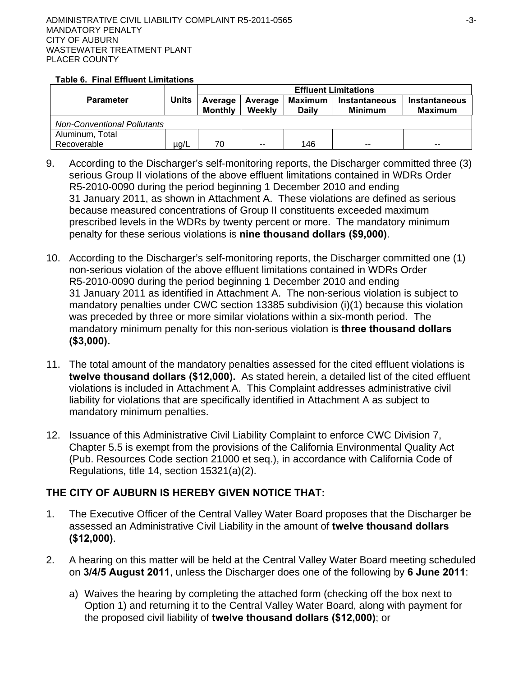### **Table 6. Final Effluent Limitations**

|                                    |              | <b>Effluent Limitations</b> |                   |                                |                                 |                                        |  |  |  |
|------------------------------------|--------------|-----------------------------|-------------------|--------------------------------|---------------------------------|----------------------------------------|--|--|--|
| <b>Parameter</b>                   | <b>Units</b> | Average<br><b>Monthly</b>   | Average<br>Weekly | <b>Maximum</b><br><b>Daily</b> | Instantaneous<br><b>Minimum</b> | <b>Instantaneous</b><br><b>Maximum</b> |  |  |  |
| <b>Non-Conventional Pollutants</b> |              |                             |                   |                                |                                 |                                        |  |  |  |
| Aluminum, Total                    |              |                             |                   |                                |                                 |                                        |  |  |  |
| Recoverable                        | $\mu$ g/L    | 70                          | $-$               | 146                            | $- -$                           | $- -$                                  |  |  |  |

- 9. According to the Discharger's self-monitoring reports, the Discharger committed three (3) serious Group II violations of the above effluent limitations contained in WDRs Order R5-2010-0090 during the period beginning 1 December 2010 and ending 31 January 2011, as shown in Attachment A. These violations are defined as serious because measured concentrations of Group II constituents exceeded maximum prescribed levels in the WDRs by twenty percent or more. The mandatory minimum penalty for these serious violations is **nine thousand dollars (\$9,000)**.
- 10. According to the Discharger's self-monitoring reports, the Discharger committed one (1) non-serious violation of the above effluent limitations contained in WDRs Order R5-2010-0090 during the period beginning 1 December 2010 and ending 31 January 2011 as identified in Attachment A. The non-serious violation is subject to mandatory penalties under CWC section 13385 subdivision (i)(1) because this violation was preceded by three or more similar violations within a six-month period. The mandatory minimum penalty for this non-serious violation is **three thousand dollars (\$3,000).**
- 11. The total amount of the mandatory penalties assessed for the cited effluent violations is **twelve thousand dollars (\$12,000).** As stated herein, a detailed list of the cited effluent violations is included in Attachment A. This Complaint addresses administrative civil liability for violations that are specifically identified in Attachment A as subject to mandatory minimum penalties.
- 12. Issuance of this Administrative Civil Liability Complaint to enforce CWC Division 7, Chapter 5.5 is exempt from the provisions of the California Environmental Quality Act (Pub. Resources Code section 21000 et seq.), in accordance with California Code of Regulations, title 14, section 15321(a)(2).

# **THE CITY OF AUBURN IS HEREBY GIVEN NOTICE THAT:**

- 1. The Executive Officer of the Central Valley Water Board proposes that the Discharger be assessed an Administrative Civil Liability in the amount of **twelve thousand dollars (\$12,000)**.
- 2. A hearing on this matter will be held at the Central Valley Water Board meeting scheduled on **3/4/5 August 2011**, unless the Discharger does one of the following by **6 June 2011**:
	- a) Waives the hearing by completing the attached form (checking off the box next to Option 1) and returning it to the Central Valley Water Board, along with payment for the proposed civil liability of **twelve thousand dollars (\$12,000)**; or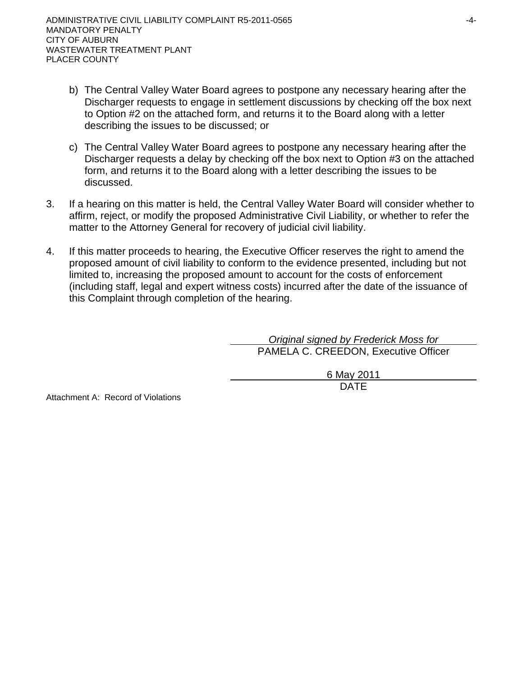- b) The Central Valley Water Board agrees to postpone any necessary hearing after the Discharger requests to engage in settlement discussions by checking off the box next to Option #2 on the attached form, and returns it to the Board along with a letter describing the issues to be discussed; or
- c) The Central Valley Water Board agrees to postpone any necessary hearing after the Discharger requests a delay by checking off the box next to Option #3 on the attached form, and returns it to the Board along with a letter describing the issues to be discussed.
- 3. If a hearing on this matter is held, the Central Valley Water Board will consider whether to affirm, reject, or modify the proposed Administrative Civil Liability, or whether to refer the matter to the Attorney General for recovery of judicial civil liability.
- 4. If this matter proceeds to hearing, the Executive Officer reserves the right to amend the proposed amount of civil liability to conform to the evidence presented, including but not limited to, increasing the proposed amount to account for the costs of enforcement (including staff, legal and expert witness costs) incurred after the date of the issuance of this Complaint through completion of the hearing.

*Original signed by Frederick Moss for* PAMELA C. CREEDON, Executive Officer

> 6 May 2011 DATE

Attachment A: Record of Violations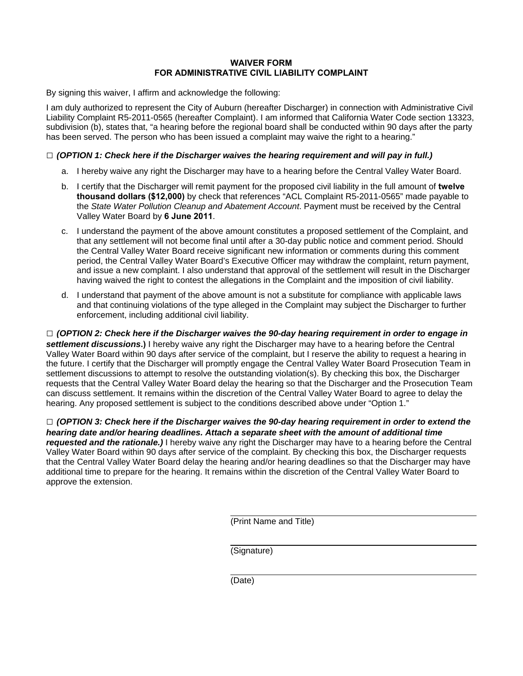### **WAIVER FORM FOR ADMINISTRATIVE CIVIL LIABILITY COMPLAINT**

By signing this waiver, I affirm and acknowledge the following:

I am duly authorized to represent the City of Auburn (hereafter Discharger) in connection with Administrative Civil Liability Complaint R5-2011-0565 (hereafter Complaint). I am informed that California Water Code section 13323, subdivision (b), states that, "a hearing before the regional board shall be conducted within 90 days after the party has been served. The person who has been issued a complaint may waive the right to a hearing."

### **□** *(OPTION 1: Check here if the Discharger waives the hearing requirement and will pay in full.)*

- a. I hereby waive any right the Discharger may have to a hearing before the Central Valley Water Board.
- b. I certify that the Discharger will remit payment for the proposed civil liability in the full amount of **twelve thousand dollars (\$12,000)** by check that references "ACL Complaint R5-2011-0565" made payable to the *State Water Pollution Cleanup and Abatement Account*. Payment must be received by the Central Valley Water Board by **6 June 2011**.
- c. I understand the payment of the above amount constitutes a proposed settlement of the Complaint, and that any settlement will not become final until after a 30-day public notice and comment period. Should the Central Valley Water Board receive significant new information or comments during this comment period, the Central Valley Water Board's Executive Officer may withdraw the complaint, return payment, and issue a new complaint. I also understand that approval of the settlement will result in the Discharger having waived the right to contest the allegations in the Complaint and the imposition of civil liability.
- d. I understand that payment of the above amount is not a substitute for compliance with applicable laws and that continuing violations of the type alleged in the Complaint may subject the Discharger to further enforcement, including additional civil liability.

**□** *(OPTION 2: Check here if the Discharger waives the 90-day hearing requirement in order to engage in settlement discussions***.)** I hereby waive any right the Discharger may have to a hearing before the Central Valley Water Board within 90 days after service of the complaint, but I reserve the ability to request a hearing in the future. I certify that the Discharger will promptly engage the Central Valley Water Board Prosecution Team in settlement discussions to attempt to resolve the outstanding violation(s). By checking this box, the Discharger requests that the Central Valley Water Board delay the hearing so that the Discharger and the Prosecution Team can discuss settlement. It remains within the discretion of the Central Valley Water Board to agree to delay the hearing. Any proposed settlement is subject to the conditions described above under "Option 1."

**□** *(OPTION 3: Check here if the Discharger waives the 90-day hearing requirement in order to extend the hearing date and/or hearing deadlines. Attach a separate sheet with the amount of additional time requested and the rationale.)* I hereby waive any right the Discharger may have to a hearing before the Central Valley Water Board within 90 days after service of the complaint. By checking this box, the Discharger requests that the Central Valley Water Board delay the hearing and/or hearing deadlines so that the Discharger may have additional time to prepare for the hearing. It remains within the discretion of the Central Valley Water Board to approve the extension.

(Print Name and Title)

(Signature)

(Date)